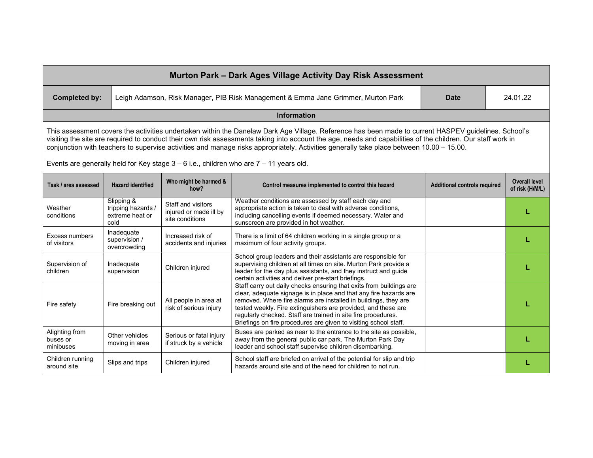| Murton Park - Dark Ages Village Activity Day Risk Assessment                                                                                                                                                                                                                                                                                                                                                                                                    |                                                             |                                                                 |                                                                                                                                                                                                                                                                                                                                                                                                                   |                                     |                                         |  |  |
|-----------------------------------------------------------------------------------------------------------------------------------------------------------------------------------------------------------------------------------------------------------------------------------------------------------------------------------------------------------------------------------------------------------------------------------------------------------------|-------------------------------------------------------------|-----------------------------------------------------------------|-------------------------------------------------------------------------------------------------------------------------------------------------------------------------------------------------------------------------------------------------------------------------------------------------------------------------------------------------------------------------------------------------------------------|-------------------------------------|-----------------------------------------|--|--|
| <b>Completed by:</b>                                                                                                                                                                                                                                                                                                                                                                                                                                            |                                                             |                                                                 | Leigh Adamson, Risk Manager, PIB Risk Management & Emma Jane Grimmer, Murton Park                                                                                                                                                                                                                                                                                                                                 | <b>Date</b>                         | 24.01.22                                |  |  |
| <b>Information</b>                                                                                                                                                                                                                                                                                                                                                                                                                                              |                                                             |                                                                 |                                                                                                                                                                                                                                                                                                                                                                                                                   |                                     |                                         |  |  |
| This assessment covers the activities undertaken within the Danelaw Dark Age Village. Reference has been made to current HASPEV guidelines. School's<br>visiting the site are required to conduct their own risk assessments taking into account the age, needs and capabilities of the children. Our staff work in<br>conjunction with teachers to supervise activities and manage risks appropriately. Activities generally take place between 10.00 - 15.00. |                                                             |                                                                 |                                                                                                                                                                                                                                                                                                                                                                                                                   |                                     |                                         |  |  |
| Events are generally held for Key stage $3 - 6$ i.e., children who are $7 - 11$ years old.                                                                                                                                                                                                                                                                                                                                                                      |                                                             |                                                                 |                                                                                                                                                                                                                                                                                                                                                                                                                   |                                     |                                         |  |  |
| Task / area assessed                                                                                                                                                                                                                                                                                                                                                                                                                                            | <b>Hazard identified</b>                                    | Who might be harmed &<br>how?                                   | Control measures implemented to control this hazard                                                                                                                                                                                                                                                                                                                                                               | <b>Additional controls required</b> | <b>Overall level</b><br>of risk (H/M/L) |  |  |
| Weather<br>conditions                                                                                                                                                                                                                                                                                                                                                                                                                                           | Slipping &<br>tripping hazards /<br>extreme heat or<br>cold | Staff and visitors<br>injured or made ill by<br>site conditions | Weather conditions are assessed by staff each day and<br>appropriate action is taken to deal with adverse conditions,<br>including cancelling events if deemed necessary. Water and<br>sunscreen are provided in hot weather.                                                                                                                                                                                     |                                     |                                         |  |  |
| Excess numbers<br>of visitors                                                                                                                                                                                                                                                                                                                                                                                                                                   | Inadequate<br>supervision /<br>overcrowding                 | Increased risk of<br>accidents and injuries                     | There is a limit of 64 children working in a single group or a<br>maximum of four activity groups.                                                                                                                                                                                                                                                                                                                |                                     |                                         |  |  |
| Supervision of<br>children                                                                                                                                                                                                                                                                                                                                                                                                                                      | Inadequate<br>supervision                                   | Children injured                                                | School group leaders and their assistants are responsible for<br>supervising children at all times on site. Murton Park provide a<br>leader for the day plus assistants, and they instruct and guide<br>certain activities and deliver pre-start briefings.                                                                                                                                                       |                                     |                                         |  |  |
| Fire safety                                                                                                                                                                                                                                                                                                                                                                                                                                                     | Fire breaking out                                           | All people in area at<br>risk of serious injury                 | Staff carry out daily checks ensuring that exits from buildings are<br>clear, adequate signage is in place and that any fire hazards are<br>removed. Where fire alarms are installed in buildings, they are<br>tested weekly. Fire extinguishers are provided, and these are<br>regularly checked. Staff are trained in site fire procedures.<br>Briefings on fire procedures are given to visiting school staff. |                                     |                                         |  |  |
| Alighting from<br>buses or<br>minibuses                                                                                                                                                                                                                                                                                                                                                                                                                         | Other vehicles<br>moving in area                            | Serious or fatal injury<br>if struck by a vehicle               | Buses are parked as near to the entrance to the site as possible,<br>away from the general public car park. The Murton Park Day<br>leader and school staff supervise children disembarking.                                                                                                                                                                                                                       |                                     |                                         |  |  |
| Children running<br>around site                                                                                                                                                                                                                                                                                                                                                                                                                                 | Slips and trips                                             | Children injured                                                | School staff are briefed on arrival of the potential for slip and trip<br>hazards around site and of the need for children to not run.                                                                                                                                                                                                                                                                            |                                     |                                         |  |  |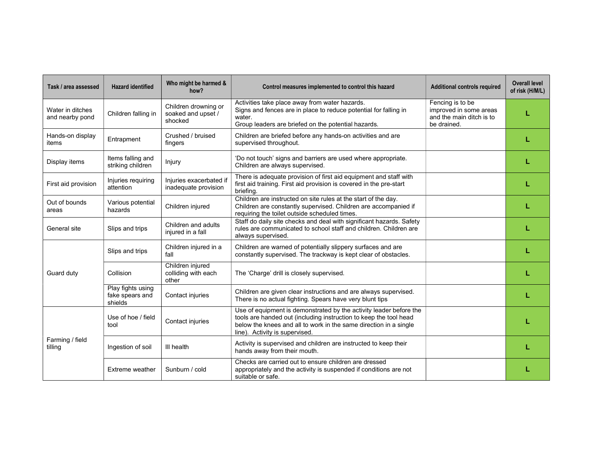| Task / area assessed                | <b>Hazard identified</b>                        | Who might be harmed &<br>how?                         | Control measures implemented to control this hazard                                                                                                                                                                                            | <b>Additional controls required</b>                                                   | <b>Overall level</b><br>of risk (H/M/L) |
|-------------------------------------|-------------------------------------------------|-------------------------------------------------------|------------------------------------------------------------------------------------------------------------------------------------------------------------------------------------------------------------------------------------------------|---------------------------------------------------------------------------------------|-----------------------------------------|
| Water in ditches<br>and nearby pond | Children falling in                             | Children drowning or<br>soaked and upset /<br>shocked | Activities take place away from water hazards.<br>Signs and fences are in place to reduce potential for falling in<br>water.<br>Group leaders are briefed on the potential hazards.                                                            | Fencing is to be<br>improved in some areas<br>and the main ditch is to<br>be drained. | L                                       |
| Hands-on display<br>items           | Entrapment                                      | Crushed / bruised<br>fingers                          | Children are briefed before any hands-on activities and are<br>supervised throughout.                                                                                                                                                          |                                                                                       |                                         |
| Display items                       | Items falling and<br>striking children          | Injury                                                | 'Do not touch' signs and barriers are used where appropriate.<br>Children are always supervised.                                                                                                                                               |                                                                                       |                                         |
| First aid provision                 | Injuries requiring<br>attention                 | Injuries exacerbated it<br>inadequate provision       | There is adequate provision of first aid equipment and staff with<br>first aid training. First aid provision is covered in the pre-start<br>briefing.                                                                                          |                                                                                       |                                         |
| Out of bounds<br>areas              | Various potential<br>hazards                    | Children injured                                      | Children are instructed on site rules at the start of the day.<br>Children are constantly supervised. Children are accompanied if<br>requiring the toilet outside scheduled times.                                                             |                                                                                       |                                         |
| General site                        | Slips and trips                                 | Children and adults<br>injured in a fall              | Staff do daily site checks and deal with significant hazards. Safety<br>rules are communicated to school staff and children. Children are<br>always supervised.                                                                                |                                                                                       |                                         |
| Guard duty                          | Slips and trips                                 | Children injured in a<br>fall                         | Children are warned of potentially slippery surfaces and are<br>constantly supervised. The trackway is kept clear of obstacles.                                                                                                                |                                                                                       |                                         |
|                                     | Collision                                       | Children injured<br>colliding with each<br>other      | The 'Charge' drill is closely supervised.                                                                                                                                                                                                      |                                                                                       |                                         |
|                                     | Play fights using<br>fake spears and<br>shields | Contact injuries                                      | Children are given clear instructions and are always supervised.<br>There is no actual fighting. Spears have very blunt tips                                                                                                                   |                                                                                       |                                         |
| Farming / field<br>tilling          | Use of hoe / field<br>tool                      | Contact injuries                                      | Use of equipment is demonstrated by the activity leader before the<br>tools are handed out (including instruction to keep the tool head<br>below the knees and all to work in the same direction in a single<br>line). Activity is supervised. |                                                                                       |                                         |
|                                     | Ingestion of soil                               | III health                                            | Activity is supervised and children are instructed to keep their<br>hands away from their mouth.                                                                                                                                               |                                                                                       |                                         |
|                                     | Extreme weather                                 | Sunburn / cold                                        | Checks are carried out to ensure children are dressed<br>appropriately and the activity is suspended if conditions are not<br>suitable or safe.                                                                                                |                                                                                       |                                         |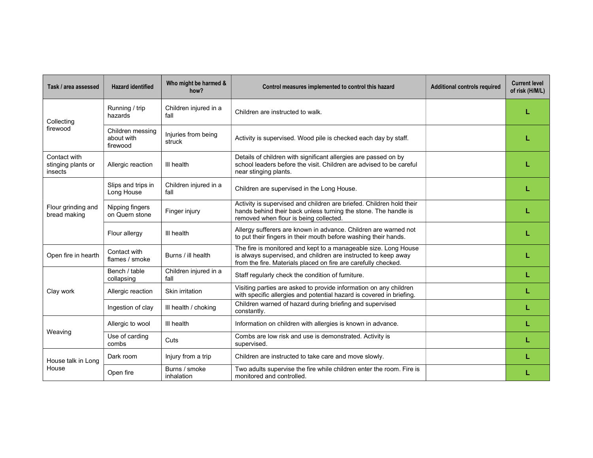| Task / area assessed                          | <b>Hazard identified</b>                   | Who might be harmed &<br>how? | Control measures implemented to control this hazard                                                                                                                                                 | <b>Additional controls required</b> | <b>Current level</b><br>of risk (H/M/L) |
|-----------------------------------------------|--------------------------------------------|-------------------------------|-----------------------------------------------------------------------------------------------------------------------------------------------------------------------------------------------------|-------------------------------------|-----------------------------------------|
| Collecting<br>firewood                        | Running / trip<br>hazards                  | Children injured in a<br>fall | Children are instructed to walk.                                                                                                                                                                    |                                     |                                         |
|                                               | Children messing<br>about with<br>firewood | Injuries from being<br>struck | Activity is supervised. Wood pile is checked each day by staff.                                                                                                                                     |                                     |                                         |
| Contact with<br>stinging plants or<br>insects | Allergic reaction                          | III health                    | Details of children with significant allergies are passed on by<br>school leaders before the visit. Children are advised to be careful<br>near stinging plants.                                     |                                     |                                         |
| Flour grinding and<br>bread making            | Slips and trips in<br>Long House           | Children injured in a<br>fall | Children are supervised in the Long House.                                                                                                                                                          |                                     |                                         |
|                                               | Nipping fingers<br>on Quern stone          | Finger injury                 | Activity is supervised and children are briefed. Children hold their<br>hands behind their back unless turning the stone. The handle is<br>removed when flour is being collected.                   |                                     |                                         |
|                                               | Flour allergy                              | III health                    | Allergy sufferers are known in advance. Children are warned not<br>to put their fingers in their mouth before washing their hands.                                                                  |                                     |                                         |
| Open fire in hearth                           | Contact with<br>flames / smoke             | Burns / ill health            | The fire is monitored and kept to a manageable size. Long House<br>is always supervised, and children are instructed to keep away<br>from the fire. Materials placed on fire are carefully checked. |                                     |                                         |
| Clay work                                     | Bench / table<br>collapsing                | Children injured in a<br>fall | Staff regularly check the condition of furniture.                                                                                                                                                   |                                     |                                         |
|                                               | Allergic reaction                          | Skin irritation               | Visiting parties are asked to provide information on any children<br>with specific allergies and potential hazard is covered in briefing.                                                           |                                     | L                                       |
|                                               | Ingestion of clay                          | III health / choking          | Children warned of hazard during briefing and supervised<br>constantly.                                                                                                                             |                                     |                                         |
| Weaving                                       | Allergic to wool                           | III health                    | Information on children with allergies is known in advance.                                                                                                                                         |                                     | L                                       |
|                                               | Use of carding<br>combs                    | Cuts                          | Combs are low risk and use is demonstrated. Activity is<br>supervised.                                                                                                                              |                                     | L                                       |
| House talk in Long<br>House                   | Dark room                                  | Injury from a trip            | Children are instructed to take care and move slowly.                                                                                                                                               |                                     |                                         |
|                                               | Open fire                                  | Burns / smoke<br>inhalation   | Two adults supervise the fire while children enter the room. Fire is<br>monitored and controlled.                                                                                                   |                                     |                                         |